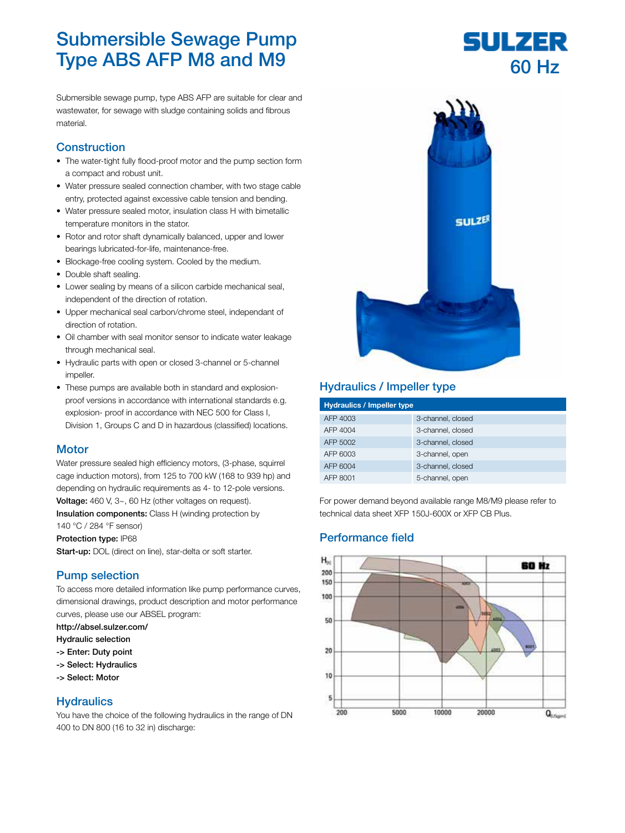# Submersible Sewage Pump Type ABS AFP M8 and M9

Submersible sewage pump, type ABS AFP are suitable for clear and wastewater, for sewage with sludge containing solids and fibrous material.

# **Construction**

- The water-tight fully flood-proof motor and the pump section form a compact and robust unit.
- Water pressure sealed connection chamber, with two stage cable entry, protected against excessive cable tension and bending.
- Water pressure sealed motor, insulation class H with bimetallic temperature monitors in the stator.
- Rotor and rotor shaft dynamically balanced, upper and lower bearings lubricated-for-life, maintenance-free.
- Blockage-free cooling system. Cooled by the medium.
- Double shaft sealing.
- Lower sealing by means of a silicon carbide mechanical seal, independent of the direction of rotation.
- Upper mechanical seal carbon/chrome steel, independant of direction of rotation.
- Oil chamber with seal monitor sensor to indicate water leakage through mechanical seal.
- Hydraulic parts with open or closed 3-channel or 5-channel impeller.
- These pumps are available both in standard and explosionproof versions in accordance with international standards e.g. explosion- proof in accordance with NEC 500 for Class I, Division 1, Groups C and D in hazardous (classified) locations.

#### **Motor**

Water pressure sealed high efficiency motors, (3-phase, squirrel cage induction motors), from 125 to 700 kW (168 to 939 hp) and depending on hydraulic requirements as 4- to 12-pole versions. Voltage: 460 V, 3~, 60 Hz (other voltages on request). Insulation components: Class H (winding protection by

140 °C / 284 °F sensor)

Protection type: IP68

Start-up: DOL (direct on line), star-delta or soft starter.

### Pump selection

To access more detailed information like pump performance curves, dimensional drawings, product description and motor performance curves, please use our ABSEL program:

http://absel.sulzer.com/

- Hydraulic selection
- -> Enter: Duty point
- -> Select: Hydraulics
- -> Select: Motor

#### **Hydraulics**

You have the choice of the following hydraulics in the range of DN 400 to DN 800 (16 to 32 in) discharge:



# Hydraulics / Impeller type

| <b>Hydraulics / Impeller type</b> |                   |  |  |
|-----------------------------------|-------------------|--|--|
| AFP 4003                          | 3-channel, closed |  |  |
| AFP 4004                          | 3-channel, closed |  |  |
| AFP 5002                          | 3-channel, closed |  |  |
| AFP 6003                          | 3-channel, open   |  |  |
| AFP 6004                          | 3-channel, closed |  |  |
| AFP 8001                          | 5-channel, open   |  |  |

For power demand beyond available range M8/M9 please refer to technical data sheet XFP 150J-600X or XFP CB Plus.

### Performance field